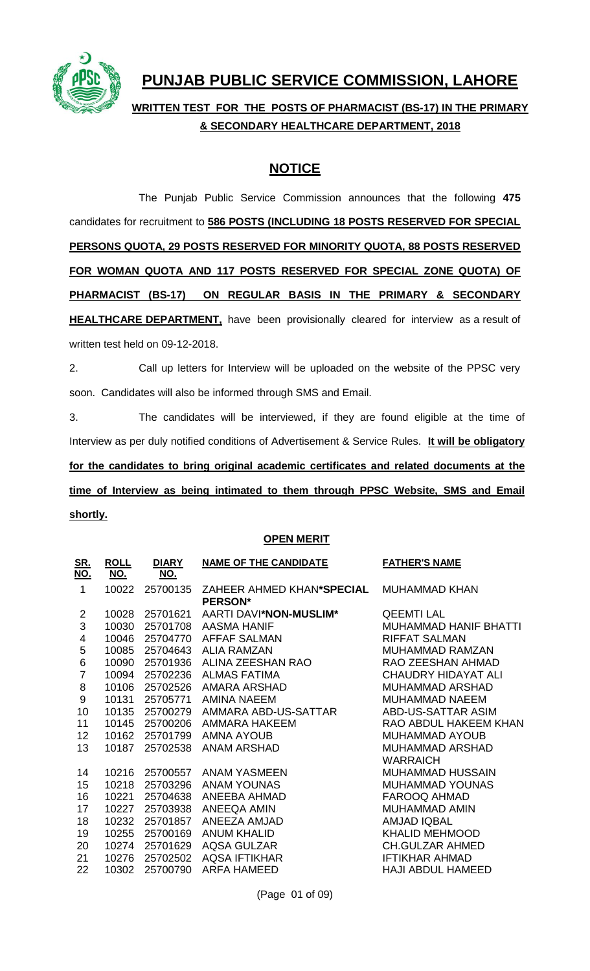

## **PUNJAB PUBLIC SERVICE COMMISSION, LAHORE**

**WRITTEN TEST FOR THE POSTS OF PHARMACIST (BS-17) IN THE PRIMARY & SECONDARY HEALTHCARE DEPARTMENT, 2018**

## **NOTICE**

The Punjab Public Service Commission announces that the following **475** candidates for recruitment to **586 POSTS (INCLUDING 18 POSTS RESERVED FOR SPECIAL PERSONS QUOTA, 29 POSTS RESERVED FOR MINORITY QUOTA, 88 POSTS RESERVED FOR WOMAN QUOTA AND 117 POSTS RESERVED FOR SPECIAL ZONE QUOTA) OF PHARMACIST (BS-17) ON REGULAR BASIS IN THE PRIMARY & SECONDARY HEALTHCARE DEPARTMENT**, have been provisionally cleared for interview as a result of written test held on 09-12-2018.

2. Call up letters for Interview will be uploaded on the website of the PPSC very soon. Candidates will also be informed through SMS and Email.

3. The candidates will be interviewed, if they are found eligible at the time of Interview as per duly notified conditions of Advertisement & Service Rules. **It will be obligatory for the candidates to bring original academic certificates and related documents at the time of Interview as being intimated to them through PPSC Website, SMS and Email shortly.**

## **OPEN MERIT**

| <u>SR.</u><br><u>NO.</u> | <b>ROLL</b><br><u>NO.</u> | <b>DIARY</b><br><u>NO.</u> | <b>NAME OF THE CANDIDATE</b>                | <b>FATHER'S NAME</b>       |
|--------------------------|---------------------------|----------------------------|---------------------------------------------|----------------------------|
| 1                        | 10022                     | 25700135                   | ZAHEER AHMED KHAN*SPECIAL<br><b>PERSON*</b> | <b>MUHAMMAD KHAN</b>       |
| $\overline{2}$           | 10028                     | 25701621                   | AARTI DAVI*NON-MUSLIM*                      | <b>QEEMTILAL</b>           |
| 3                        | 10030                     | 25701708                   | <b>AASMA HANIF</b>                          | MUHAMMAD HANIF BHATTI      |
| 4                        | 10046                     | 25704770                   | <b>AFFAF SALMAN</b>                         | <b>RIFFAT SALMAN</b>       |
| 5                        | 10085                     | 25704643                   | <b>ALIA RAMZAN</b>                          | <b>MUHAMMAD RAMZAN</b>     |
| 6                        | 10090                     | 25701936                   | ALINA ZEESHAN RAO                           | RAO ZEESHAN AHMAD          |
| $\overline{7}$           | 10094                     | 25702236                   | <b>ALMAS FATIMA</b>                         | <b>CHAUDRY HIDAYAT ALI</b> |
| 8                        | 10106                     | 25702526                   | AMARA ARSHAD                                | <b>MUHAMMAD ARSHAD</b>     |
| 9                        | 10131                     | 25705771                   | AMINA NAEEM                                 | <b>MUHAMMAD NAEEM</b>      |
| 10                       | 10135                     | 25700279                   | AMMARA ABD-US-SATTAR                        | ABD-US-SATTAR ASIM         |
| 11                       | 10145                     | 25700206                   | AMMARA HAKEEM                               | RAO ABDUL HAKEEM KHAN      |
| 12                       | 10162                     | 25701799                   | <b>AMNA AYOUB</b>                           | <b>MUHAMMAD AYOUB</b>      |
| 13                       | 10187                     | 25702538                   | <b>ANAM ARSHAD</b>                          | <b>MUHAMMAD ARSHAD</b>     |
|                          |                           |                            |                                             | <b>WARRAICH</b>            |
| 14                       | 10216                     | 25700557                   | ANAM YASMEEN                                | <b>MUHAMMAD HUSSAIN</b>    |
| 15                       | 10218                     | 25703296                   | <b>ANAM YOUNAS</b>                          | MUHAMMAD YOUNAS            |
| 16                       | 10221                     | 25704638                   | ANEEBA AHMAD                                | FAROOQ AHMAD               |
| 17                       | 10227                     | 25703938                   | <b>ANEEQA AMIN</b>                          | <b>MUHAMMAD AMIN</b>       |
| 18                       | 10232                     | 25701857                   | ANEEZA AMJAD                                | <b>AMJAD IQBAL</b>         |
| 19                       | 10255                     | 25700169                   | <b>ANUM KHALID</b>                          | <b>KHALID MEHMOOD</b>      |
| 20                       | 10274                     | 25701629                   | <b>AQSA GULZAR</b>                          | <b>CH.GULZAR AHMED</b>     |
| 21                       | 10276                     | 25702502                   | <b>AQSA IFTIKHAR</b>                        | <b>IFTIKHAR AHMAD</b>      |
| 22                       | 10302                     | 25700790                   | <b>ARFA HAMEED</b>                          | <b>HAJI ABDUL HAMEED</b>   |

(Page 01 of 09)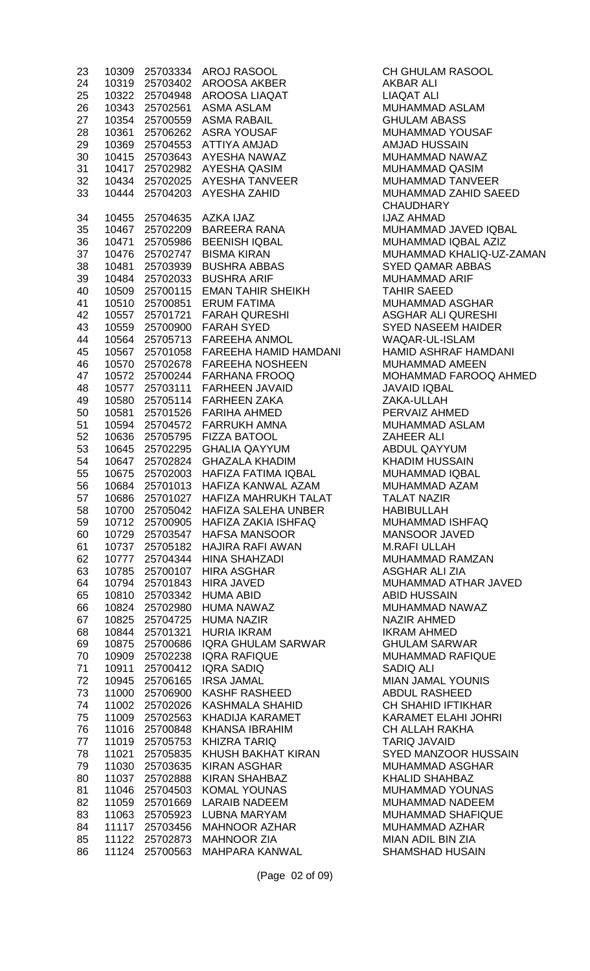| 23 | 10309 | 25703334 | <b>AROJ RASOOL</b>           |
|----|-------|----------|------------------------------|
| 24 | 10319 | 25703402 | <b>AROOSA AKBER</b>          |
| 25 | 10322 | 25704948 | <b>AROOSA LIAQAT</b>         |
| 26 | 10343 | 25702561 | <b>ASMA ASLAM</b>            |
| 27 | 10354 | 25700559 | <b>ASMA RABAIL</b>           |
| 28 | 10361 | 25706262 | <b>ASRA YOUSAF</b>           |
| 29 | 10369 | 25704553 | <b>ATTIYA AMJAD</b>          |
| 30 | 10415 | 25703643 | <b>AYESHA NAWAZ</b>          |
| 31 | 10417 | 25702982 | <b>AYESHA QASIM</b>          |
| 32 | 10434 | 25702025 | <b>AYESHA TANVEER</b>        |
| 33 | 10444 | 25704203 | <b>AYESHA ZAHID</b>          |
| 34 | 10455 | 25704635 | <b>AZKA IJAZ</b>             |
| 35 | 10467 | 25702209 | <b>BAREERA RANA</b>          |
| 36 | 10471 | 25705986 | <b>BEENISH IQBAL</b>         |
| 37 | 10476 | 25702747 | <b>BISMA KIRAN</b>           |
| 38 | 10481 | 25703939 | <b>BUSHRA ABBAS</b>          |
| 39 | 10484 | 25702033 | <b>BUSHRA ARIF</b>           |
| 40 | 10509 | 25700115 | <b>EMAN TAHIR SHEIKH</b>     |
| 41 | 10510 | 25700851 | <b>ERUM FATIMA</b>           |
| 42 | 10557 | 25701721 | <b>FARAH QURESHI</b>         |
| 43 | 10559 | 25700900 | <b>FARAH SYED</b>            |
| 44 | 10564 | 25705713 | <b>FAREEHA ANMOL</b>         |
| 45 | 10567 | 25701058 | <b>FAREEHA HAMID HAMDAN</b>  |
| 46 | 10570 | 25702678 | <b>FAREEHA NOSHEEN</b>       |
| 47 | 10572 | 25700244 | <b>FARHANA FROOQ</b>         |
| 48 | 10577 | 25703111 | <b>FARHEEN JAVAID</b>        |
| 49 | 10580 | 25705114 | <b>FARHEEN ZAKA</b>          |
| 50 | 10581 | 25701526 | <b>FARIHA AHMED</b>          |
| 51 | 10594 | 25704572 | <b>FARRUKH AMNA</b>          |
| 52 | 10636 | 25705795 | <b>FIZZA BATOOL</b>          |
| 53 | 10645 | 25702295 | <b>GHALIA QAYYUM</b>         |
| 54 | 10647 | 25702824 | <b>GHAZALA KHADIM</b>        |
| 55 | 10675 |          | 25702003 HAFIZA FATIMA IQBAL |
| 56 | 10684 |          | 25701013 HAFIZA KANWAL AZAM  |
| 57 | 10686 | 25701027 | HAFIZA MAHRUKH TALAT         |
| 58 | 10700 | 25705042 | <b>HAFIZA SALEHA UNBER</b>   |
| 59 | 10712 | 25700905 | <b>HAFIZA ZAKIA ISHFAQ</b>   |
| 60 | 10729 | 25703547 | <b>HAFSA MANSOOR</b>         |
| 61 | 10737 | 25705182 | <b>HAJIRA RAFI AWAN</b>      |
| 62 | 10777 | 25704344 | <b>HINA SHAHZADI</b>         |
| 63 | 10785 | 25700107 | <b>HIRA ASGHAR</b>           |
| 64 | 10794 | 25701843 | <b>HIRA JAVED</b>            |
| 65 | 10810 | 25703342 | <b>HUMA ABID</b>             |
| 66 | 10824 | 25702980 | <b>HUMA NAWAZ</b>            |
| 67 | 10825 | 25704725 | <b>HUMA NAZIR</b>            |
| 68 | 10844 | 25701321 | <b>HURIA IKRAM</b>           |
| 69 | 10875 | 25700686 | <b>IQRA GHULAM SARWAR</b>    |
| 70 | 10909 | 25702238 | <b>IQRA RAFIQUE</b>          |
| 71 | 10911 | 25700412 | <b>IQRA SADIQ</b>            |
| 72 | 10945 | 25706165 | <b>IRSA JAMAL</b>            |
| 73 | 11000 | 25706900 | <b>KASHF RASHEED</b>         |
| 74 | 11002 | 25702026 | KASHMALA SHAHID              |
| 75 | 11009 | 25702563 | <b>KHADIJA KARAMET</b>       |
| 76 | 11016 | 25700848 | <b>KHANSA IBRAHIM</b>        |
| 77 | 11019 | 25705753 | <b>KHIZRA TARIQ</b>          |
| 78 | 11021 | 25705835 | KHUSH BAKHAT KIRAN           |
| 79 | 11030 | 25703635 | KIRAN ASGHAR                 |
| 80 | 11037 | 25702888 | <b>KIRAN SHAHBAZ</b>         |
| 81 | 11046 | 25704503 | <b>KOMAL YOUNAS</b>          |
| 82 | 11059 | 25701669 | <b>LARAIB NADEEM</b>         |
| 83 | 11063 | 25705923 | <b>LUBNA MARYAM</b>          |
| 84 | 11117 | 25703456 | <b>MAHNOOR AZHAR</b>         |
| 85 | 11122 | 25702873 | <b>MAHNOOR ZIA</b>           |
| 86 | 11124 | 25700563 | <b>MAHPARA KANWAL</b>        |

**CH GHULAM RASOOL** AKBAR ALI LIAQAT ALI MUHAMMAD ASLAM **GHULAM ABASS** MUHAMMAD YOUSAF AMJAD HUSSAIN MUHAMMAD NAWAZ MUHAMMAD QASIM MUHAMMAD TANVEER MUHAMMAD ZAHID SAEED **CHAUDHARY IJAZ AHMAD** MUHAMMAD JAVED IQBAL MUHAMMAD IQBAL AZIZ MUHAMMAD KHALIQ-UZ-ZAMAN **SYED QAMAR ABBAS** MUHAMMAD ARIF TAHIR SAEED MUHAMMAD ASGHAR 42 10557 25701721 FARAH QURESHI ASGHAR ALI QURESHI **SYED NASEEM HAIDER** WAQAR-UL-ISLAM 1 HAMID ASHRAF HAMDANI MUHAMMAD AMEEN MOHAMMAD FAROOQ AHMED JAVAID IQBAL ZAKA-ULLAH PERVAIZ AHMED MUHAMMAD ASLAM ZAHEER ALI ABDUL QAYYUM KHADIM HUSSAIN MUHAMMAD IQBAL MUHAMMAD AZAM TALAT NAZIR **HABIBULLAH** MUHAMMAD ISHFAQ MANSOOR JAVED **M.RAFI ULLAH** MUHAMMAD RAMZAN 63 10785 25700107 HIRA ASGHAR ASGHAR ALI ZIA MUHAMMAD ATHAR JAVED ABID HUSSAIN MUHAMMAD NAWAZ NAZIR AHMED **IKRAM AHMED GHULAM SARWAR** MUHAMMAD RAFIQUE SADIQ ALI **MIAN JAMAL YOUNIS** ABDUL RASHEED CH SHAHID IFTIKHAR KARAMET ELAHI JOHRI **CH ALLAH RAKHA TARIQ JAVAID** SYED MANZOOR HUSSAIN MUHAMMAD ASGHAR KHALID SHAHBAZ **MUHAMMAD YOUNAS** MUHAMMAD NADEEM MUHAMMAD SHAFIQUE MUHAMMAD AZHAR **MIAN ADIL BIN ZIA** SHAMSHAD HUSAIN

(Page 02 of 09)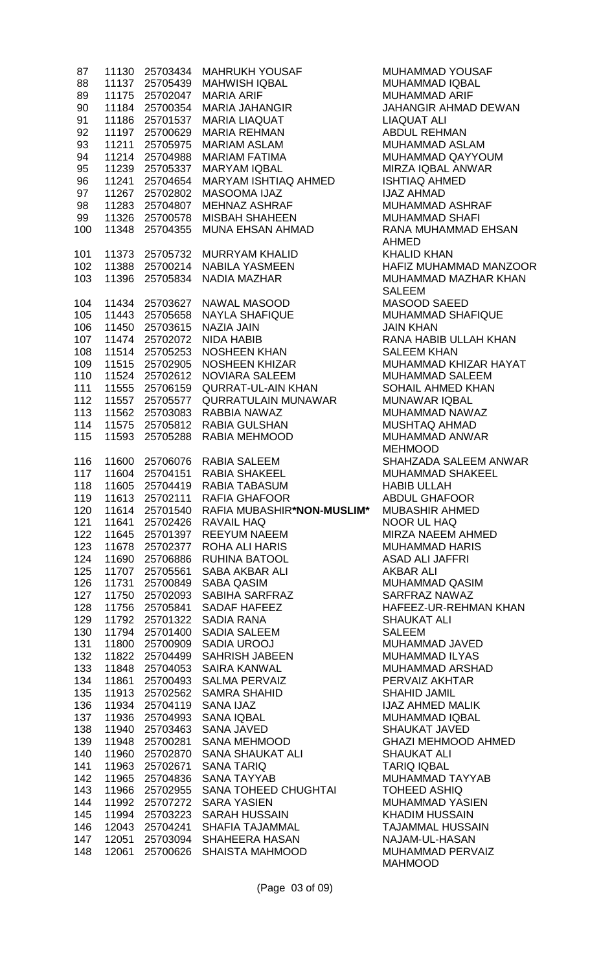| 87         | 11130          | 25703434             | <b>MAHRUKH YOUSAF</b>                                   |
|------------|----------------|----------------------|---------------------------------------------------------|
| 88         | 11137          | 25705439             | <b>MAHWISH IQBAL</b>                                    |
| 89         | 11175          | 25702047             | <b>MARIA ARIF</b>                                       |
| 90         | 11184          | 25700354             | <b>MARIA JAHANGIR</b>                                   |
| 91         | 11186          | 25701537             | <b>MARIA LIAQUAT</b>                                    |
| 92         | 11197          | 25700629             | <b>MARIA REHMAN</b>                                     |
| 93         | 11211          | 25705975             | <b>MARIAM ASLAM</b>                                     |
| 94         | 11214          | 25704988             | <b>MARIAM FATIMA</b>                                    |
| 95         | 11239          | 25705337             | <b>MARYAM IQBAL</b>                                     |
| 96         | 11241          | 25704654             | MARYAM ISHTIAQ AHMED                                    |
| 97         | 11267          | 25702802             | <b>MASOOMA IJAZ</b><br><b>MEHNAZ ASHRAF</b>             |
| 98<br>99   | 11283          | 25704807             | <b>MISBAH SHAHEEN</b>                                   |
| 100        | 11326<br>11348 | 25700578<br>25704355 | <b>MUNA EHSAN AHMAD</b>                                 |
|            |                |                      |                                                         |
| 101        | 11373          | 25705732             | <b>MURRYAM KHALID</b>                                   |
| 102        | 11388          | 25700214             | <b>NABILA YASMEEN</b>                                   |
| 103        | 11396          | 25705834             | <b>NADIA MAZHAR</b>                                     |
|            |                |                      |                                                         |
| 104        | 11434          | 25703627             | NAWAL MASOOD                                            |
| 105        | 11443          | 25705658             | <b>NAYLA SHAFIQUE</b>                                   |
| 106        |                | 11450 25703615       | <b>NAZIA JAIN</b>                                       |
| 107        | 11474          | 25702072             | <b>NIDA HABIB</b>                                       |
| 108        | 11514          | 25705253             | <b>NOSHEEN KHAN</b>                                     |
| 109        | 11515          | 25702905             | <b>NOSHEEN KHIZAR</b>                                   |
| 110        | 11524          | 25702612             | <b>NOVIARA SALEEM</b>                                   |
| 111        | 11555          | 25706159             | <b>QURRAT-UL-AIN KHAN</b><br><b>QURRATULAIN MUNAWAR</b> |
| 112<br>113 | 11557<br>11562 | 25705577<br>25703083 | RABBIA NAWAZ                                            |
| 114        | 11575          | 25705812             | RABIA GULSHAN                                           |
| 115        | 11593          | 25705288             | RABIA MEHMOOD                                           |
|            |                |                      |                                                         |
| 116        | 11600          |                      | 25706076 RABIA SALEEM                                   |
| 117        | 11604          |                      | 25704151 RABIA SHAKEEL                                  |
| 118        | 11605          | 25704419             | <b>RABIA TABASUM</b>                                    |
| 119        | 11613          | 25702111             | RAFIA GHAFOOR                                           |
| 120        | 11614          | 25701540             | RAFIA MUBASHIR*NON-MUSL                                 |
| 121        | 11641          | 25702426             | <b>RAVAIL HAQ</b>                                       |
| 122        | 11645          | 25701397             | <b>REEYUM NAEEM</b>                                     |
| 123<br>124 | 11678<br>11690 | 25702377             | <b>ROHA ALI HARIS</b><br><b>RUHINA BATOOL</b>           |
| 125        | 11707          | 25706886<br>25705561 | <b>SABA AKBAR ALI</b>                                   |
| 126        | 11731          | 25700849             | <b>SABA QASIM</b>                                       |
| 127        | 11750          | 25702093             | <b>SABIHA SARFRAZ</b>                                   |
| 128        | 11756          | 25705841             | <b>SADAF HAFEEZ</b>                                     |
| 129        | 11792          | 25701322             | <b>SADIA RANA</b>                                       |
| 130        | 11794          | 25701400             | <b>SADIA SALEEM</b>                                     |
| 131        | 11800          | 25700909             | <b>SADIA UROOJ</b>                                      |
| 132        | 11822          | 25704499             | <b>SAHRISH JABEEN</b>                                   |
| 133        | 11848          | 25704053             | <b>SAIRA KANWAL</b>                                     |
| 134        | 11861          | 25700493             | <b>SALMA PERVAIZ</b>                                    |
| 135        | 11913          | 25702562             | <b>SAMRA SHAHID</b>                                     |
| 136        | 11934          | 25704119             | <b>SANA IJAZ</b>                                        |
| 137        | 11936          | 25704993             | <b>SANA IQBAL</b>                                       |
| 138        | 11940          | 25703463             | <b>SANA JAVED</b>                                       |
| 139        | 11948          | 25700281             | <b>SANA MEHMOOD</b>                                     |
| 140        | 11960          | 25702870             | <b>SANA SHAUKAT ALI</b>                                 |
| 141        | 11963          | 25702671             | <b>SANA TARIQ</b><br><b>SANA TAYYAB</b>                 |
| 142<br>143 | 11965<br>11966 | 25704836<br>25702955 | <b>SANA TOHEED CHUGHTAI</b>                             |
| 144        | 11992          | 25707272             | <b>SARA YASIEN</b>                                      |
| 145        | 11994          | 25703223             | <b>SARAH HUSSAIN</b>                                    |
| 146        | 12043          | 25704241             | <b>SHAFIA TAJAMMAL</b>                                  |
| 147        | 12051          | 25703094             | <b>SHAHEERA HASAN</b>                                   |
|            |                |                      |                                                         |

MUHAMMAD YOUSAF MUHAMMAD IQBAL MUHAMMAD ARIF JAHANGIR AHMAD DEWAN LIAQUAT ALI ABDUL REHMAN MUHAMMAD ASLAM MUHAMMAD QAYYOUM MIRZA IQBAL ANWAR **ISHTIAQ AHMED IJAZ AHMAD** MUHAMMAD ASHRAF MUHAMMAD SHAFI RANA MUHAMMAD EHSAN AHMED KHALID KHAN HAFIZ MUHAMMAD MANZOOR MUHAMMAD MAZHAR KHAN SALEEM MASOOD SAEED MUHAMMAD SHAFIQUE **JAIN KHAN** RANA HABIB ULLAH KHAN SALEEM KHAN MUHAMMAD KHIZAR HAYAT MUHAMMAD SALEEM SOHAIL AHMED KHAN MUNAWAR IQBAL MUHAMMAD NAWAZ MUSHTAQ AHMAD MUHAMMAD ANWAR MEHMOOD SHAHZADA SALEEM ANWAR MUHAMMAD SHAKEEL HABIB ULLAH ABDUL GHAFOOR<br>I**M\*** MUBASHIR AHMED 120 11614 25701540 RAFIA MUBASHIR**\*NON-MUSLIM\*** MUBASHIR AHMED **NOOR UL HAQ MIRZA NAEEM AHMED** MUHAMMAD HARIS ASAD ALI JAFFRI AKBAR ALI MUHAMMAD QASIM SARFRAZ NAWAZ HAFEEZ-UR-REHMAN KHAN SHAUKAT ALI SALEEM MUHAMMAD JAVED MUHAMMAD ILYAS MUHAMMAD ARSHAD PERVAIZ AKHTAR SHAHID JAMIL **IJAZ AHMED MALIK** MUHAMMAD IQBAL SHAUKAT JAVED **GHAZI MEHMOOD AHMED** SHAUKAT ALI **TARIQ IQBAL** MUHAMMAD TAYYAB TOHEED ASHIQ MUHAMMAD YASIEN KHADIM HUSSAIN TAJAMMAL HUSSAIN NAJAM-UL-HASAN MUHAMMAD PERVAIZ MAHMOOD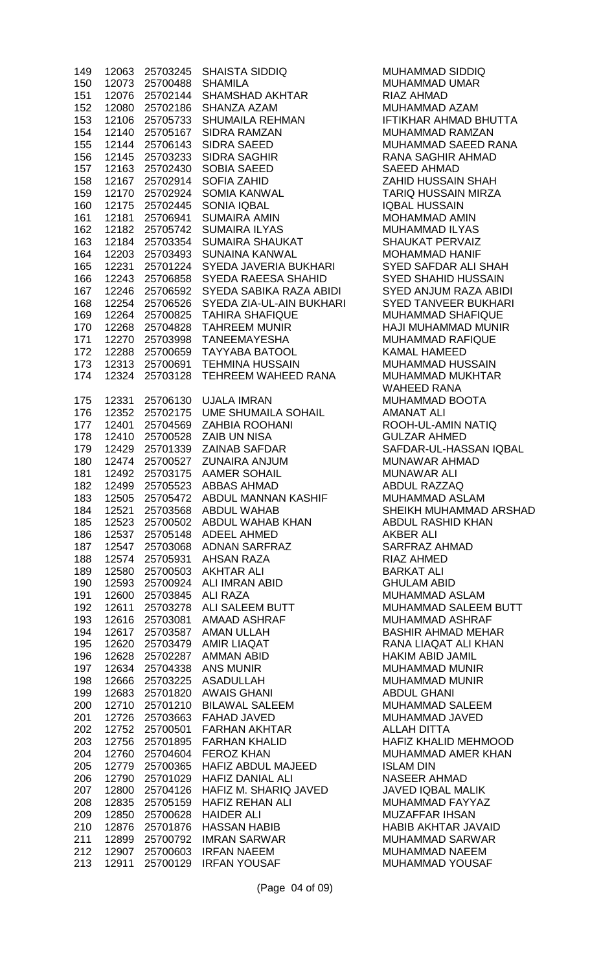| 149        | 12063          | 25703245             | SHAISTA SIDDIQ<br>SHAMILA<br>SHAMSHAD AKHTAR                                                                                                                                                                                                                                                   | MUHAMMAD SIDDIQ                                 |
|------------|----------------|----------------------|------------------------------------------------------------------------------------------------------------------------------------------------------------------------------------------------------------------------------------------------------------------------------------------------|-------------------------------------------------|
| 150        | 12073          | 25700488             |                                                                                                                                                                                                                                                                                                | <b>MUHAMMAD UMAR</b>                            |
| 151        | 12076          | 25702144             |                                                                                                                                                                                                                                                                                                | <b>RIAZ AHMAD</b>                               |
| 152        | 12080          | 25702186             |                                                                                                                                                                                                                                                                                                | MUHAMMAD AZAM                                   |
| 153        | 12106          | 25705733             |                                                                                                                                                                                                                                                                                                | <b>IFTIKHAR AHMAD BHU</b>                       |
| 154        | 12140          | 25705167             |                                                                                                                                                                                                                                                                                                | MUHAMMAD RAMZAN                                 |
| 155        | 12144          | 25706143             |                                                                                                                                                                                                                                                                                                | <b>MUHAMMAD SAEED F</b>                         |
| 156        | 12145          | 25703233             |                                                                                                                                                                                                                                                                                                | <b>RANA SAGHIR AHMAD</b>                        |
| 157        | 12163          | 25702430             |                                                                                                                                                                                                                                                                                                | <b>SAEED AHMAD</b>                              |
| 158        | 12167          | 25702914             |                                                                                                                                                                                                                                                                                                | <b>ZAHID HUSSAIN SHAH</b>                       |
| 159        | 12170          | 25702924             |                                                                                                                                                                                                                                                                                                | <b>TARIQ HUSSAIN MIRZ</b>                       |
| 160        | 12175          | 25702445             |                                                                                                                                                                                                                                                                                                | <b>IQBAL HUSSAIN</b>                            |
| 161        | 12181          | 25706941             |                                                                                                                                                                                                                                                                                                | MOHAMMAD AMIN                                   |
| 162        | 12182          | 25705742<br>25703354 |                                                                                                                                                                                                                                                                                                | MUHAMMAD ILYAS<br><b>SHAUKAT PERVAIZ</b>        |
| 163<br>164 | 12184<br>12203 | 25703493             | SHAWSHAD AKHTAR<br>SHANZA AZAM<br>SHUMAILA REHMAN<br>SIDRA SAEED<br>SIDRA SAGHIR<br>SOBIA SAEED<br>SOBIA SAEED<br>SOFIA ZAHID<br>SOMIA KANWAL<br>SOMIA IQBAL<br>SUMAIRA AMIN<br>SUMAIRA AMIN<br>SUMAIRA AMIN<br>SUMAIRA AMIN<br>SUMAIRA AMIN<br>SUMAIRA AMIN<br>SUMAIRA AMIN<br>SUNAINA KANWAL | <b>MOHAMMAD HANIF</b>                           |
| 165        | 12231          | 25701224             | SYEDA JAVERIA BUKHARI                                                                                                                                                                                                                                                                          | <b>SYED SAFDAR ALI SH</b>                       |
| 166        | 12243          | 25706858             | SYEDA RAEESA SHAHID                                                                                                                                                                                                                                                                            | <b>SYED SHAHID HUSSA</b>                        |
| 167        | 12246          | 25706592             | SYEDA SABIKA RAZA ABIDI                                                                                                                                                                                                                                                                        | SYED ANJUM RAZA A                               |
| 168        | 12254          | 25706526             | SYEDA ZIA-UL-AIN BUKHARI                                                                                                                                                                                                                                                                       | <b>SYED TANVEER BUKH</b>                        |
| 169        | 12264          | 25700825             | <b>TAHIRA SHAFIQUE</b>                                                                                                                                                                                                                                                                         | <b>MUHAMMAD SHAFIQU</b>                         |
| 170        | 12268          | 25704828             |                                                                                                                                                                                                                                                                                                | HAJI MUHAMMAD MUI                               |
| 171        | 12270          | 25703998             |                                                                                                                                                                                                                                                                                                | <b>MUHAMMAD RAFIQUE</b>                         |
| 172        | 12288          | 25700659             | TAHREEM MUNIR<br>TANEEMAYESHA<br>TAYYABA BATOOL                                                                                                                                                                                                                                                | <b>KAMAL HAMEED</b>                             |
| 173        | 12313          | 25700691             | <b>TEHMINA HUSSAIN</b>                                                                                                                                                                                                                                                                         | MUHAMMAD HUSSAIN                                |
| 174        | 12324          | 25703128             | TEHREEM WAHEED RANA                                                                                                                                                                                                                                                                            | MUHAMMAD MUKHTA                                 |
|            |                |                      |                                                                                                                                                                                                                                                                                                | <b>WAHEED RANA</b>                              |
| 175        | 12331          | 25706130             | <b>UJALA IMRAN</b>                                                                                                                                                                                                                                                                             | MUHAMMAD BOOTA                                  |
| 176        | 12352          | 25702175             | UME SHUMAILA SOHAIL                                                                                                                                                                                                                                                                            | <b>AMANAT ALI</b>                               |
| 177        | 12401          | 25704569             | <b>ZAHBIA ROOHANI</b>                                                                                                                                                                                                                                                                          | ROOH-UL-AMIN NATIO                              |
| 178        |                |                      |                                                                                                                                                                                                                                                                                                | <b>GULZAR AHMED</b>                             |
| 179        |                |                      |                                                                                                                                                                                                                                                                                                | SAFDAR-UL-HASSAN                                |
| 180        |                |                      |                                                                                                                                                                                                                                                                                                | MUNAWAR AHMAD                                   |
| 181        |                |                      |                                                                                                                                                                                                                                                                                                | <b>MUNAWAR ALI</b>                              |
| 182        |                |                      |                                                                                                                                                                                                                                                                                                | ABDUL RAZZAQ                                    |
| 183        |                |                      | 25703568 ABDUL WAHAB                                                                                                                                                                                                                                                                           | MUHAMMAD ASLAM<br>SHEIKH MUHAMMAD               |
| 184<br>185 | 12521<br>12523 | 25700502             | ABDUL WAHAB KHAN                                                                                                                                                                                                                                                                               | <b>ABDUL RASHID KHAN</b>                        |
| 186        | 12537          | 25705148             | <b>ADEEL AHMED</b>                                                                                                                                                                                                                                                                             | <b>AKBER ALI</b>                                |
| 187        | 12547          | 25703068             | ADNAN SARFRAZ                                                                                                                                                                                                                                                                                  | <b>SARFRAZ AHMAD</b>                            |
| 188        | 12574          | 25705931             | <b>AHSAN RAZA</b>                                                                                                                                                                                                                                                                              | <b>RIAZ AHMED</b>                               |
| 189        | 12580          | 25700503             | <b>AKHTAR ALI</b>                                                                                                                                                                                                                                                                              | <b>BARKAT ALI</b>                               |
| 190        | 12593          | 25700924             | ALI IMRAN ABID                                                                                                                                                                                                                                                                                 | <b>GHULAM ABID</b>                              |
| 191        | 12600          | 25703845             | ALI RAZA                                                                                                                                                                                                                                                                                       | MUHAMMAD ASLAM                                  |
| 192        | 12611          | 25703278             | ALI SALEEM BUTT                                                                                                                                                                                                                                                                                | <b>MUHAMMAD SALEEM</b>                          |
| 193        | 12616          | 25703081             | AMAAD ASHRAF                                                                                                                                                                                                                                                                                   | <b>MUHAMMAD ASHRAF</b>                          |
| 194        | 12617          | 25703587             | <b>AMAN ULLAH</b>                                                                                                                                                                                                                                                                              | <b>BASHIR AHMAD MEHA</b>                        |
| 195        | 12620          | 25703479             | <b>AMIR LIAQAT</b>                                                                                                                                                                                                                                                                             | RANA LIAQAT ALI KHA                             |
| 196        | 12628          | 25702287             | <b>AMMAN ABID</b>                                                                                                                                                                                                                                                                              | <b>HAKIM ABID JAMIL</b>                         |
| 197        | 12634          | 25704338             | <b>ANS MUNIR</b>                                                                                                                                                                                                                                                                               | <b>MUHAMMAD MUNIR</b>                           |
| 198        | 12666          | 25703225             | ASADULLAH                                                                                                                                                                                                                                                                                      | <b>MUHAMMAD MUNIR</b>                           |
| 199        | 12683          | 25701820             | <b>AWAIS GHANI</b>                                                                                                                                                                                                                                                                             | <b>ABDUL GHANI</b>                              |
| 200        | 12710          | 25701210             | <b>BILAWAL SALEEM</b>                                                                                                                                                                                                                                                                          | <b>MUHAMMAD SALEEM</b>                          |
| 201        | 12726          |                      | 25703663 FAHAD JAVED                                                                                                                                                                                                                                                                           | MUHAMMAD JAVED                                  |
| 202        | 12752          | 25700501             | <b>FARHAN AKHTAR</b>                                                                                                                                                                                                                                                                           | <b>ALLAH DITTA</b><br><b>HAFIZ KHALID MEHMO</b> |
| 203        | 12756          |                      | 25701895 FARHAN KHALID<br><b>FEROZ KHAN</b>                                                                                                                                                                                                                                                    | <b>MUHAMMAD AMER KH</b>                         |
| 204<br>205 | 12760<br>12779 | 25704604<br>25700365 | HAFIZ ABDUL MAJEED                                                                                                                                                                                                                                                                             | <b>ISLAM DIN</b>                                |
| 206        | 12790          | 25701029             | <b>HAFIZ DANIAL ALI</b>                                                                                                                                                                                                                                                                        | NASEER AHMAD                                    |
| 207        | 12800          | 25704126             | HAFIZ M. SHARIQ JAVED                                                                                                                                                                                                                                                                          | <b>JAVED IQBAL MALIK</b>                        |
| 208        | 12835          | 25705159             | <b>HAFIZ REHAN ALI</b>                                                                                                                                                                                                                                                                         | MUHAMMAD FAYYAZ                                 |
| 209        | 12850          | 25700628             | <b>HAIDER ALI</b>                                                                                                                                                                                                                                                                              | <b>MUZAFFAR IHSAN</b>                           |
| 210        | 12876          | 25701876             | <b>HASSAN HABIB</b>                                                                                                                                                                                                                                                                            | <b>HABIB AKHTAR JAVAI</b>                       |
| 211        | 12899          | 25700792             | <b>IMRAN SARWAR</b>                                                                                                                                                                                                                                                                            | <b>MUHAMMAD SARWAF</b>                          |
| 212        | 12907          | 25700603             | <b>IRFAN NAEEM</b>                                                                                                                                                                                                                                                                             | <b>MUHAMMAD NAEEM</b>                           |
| 213        | 12911          | 25700129             | <b>IRFAN YOUSAF</b>                                                                                                                                                                                                                                                                            | <b>MUHAMMAD YOUSAF</b>                          |

MUHAMMAD SIDDIQ MUHAMMAD UMAR RIAZ AHMAD MUHAMMAD AZAM **IFTIKHAR AHMAD BHUTTA** MUHAMMAD RAMZAN MUHAMMAD SAEED RANA RANA SAGHIR AHMAD SAEED AHMAD ZAHID HUSSAIN SHAH TARIQ HUSSAIN MIRZA IQBAL HUSSAIN MOHAMMAD AMIN MUHAMMAD ILYAS SHAUKAT PERVAIZ MOHAMMAD HANIF SYED SAFDAR ALI SHAH SYED SHAHID HUSSAIN SYED ANJUM RAZA ABIDI SYED TANVEER BUKHARI MUHAMMAD SHAFIQUE HAJI MUHAMMAD MUNIR MUHAMMAD RAFIQUE KAMAL HAMEED MUHAMMAD HUSSAIN MUHAMMAD MUKHTAR WAHEED RANA MUHAMMAD BOOTA AMANAT ALI ROOH-UL-AMIN NATIQ **GULZAR AHMED** SAFDAR-UL-HASSAN IQBAL MUNAWAR AHMAD **MUNAWAR ALI** ABDUL RAZZAQ MUHAMMAD ASLAM SHEIKH MUHAMMAD ARSHAD ABDUL RASHID KHAN **AKBER ALI** SARFRAZ AHMAD RIAZ AHMED BARKAT ALI **GHULAM ABID** MUHAMMAD ASLAM MUHAMMAD SALEEM BUTT MUHAMMAD ASHRAF BASHIR AHMAD MEHAR RANA LIAQAT ALI KHAN HAKIM ABID JAMIL MUHAMMAD MUNIR MUHAMMAD MUNIR **ABDUL GHANI** MUHAMMAD SALEEM MUHAMMAD JAVED ALLAH DITTA HAFIZ KHALID MEHMOOD MUHAMMAD AMER KHAN **ISLAM DIN** NASEER AHMAD JAVED IQBAL MALIK MUHAMMAD FAYYAZ MUZAFFAR IHSAN HABIB AKHTAR JAVAID MUHAMMAD SARWAR MUHAMMAD NAEEM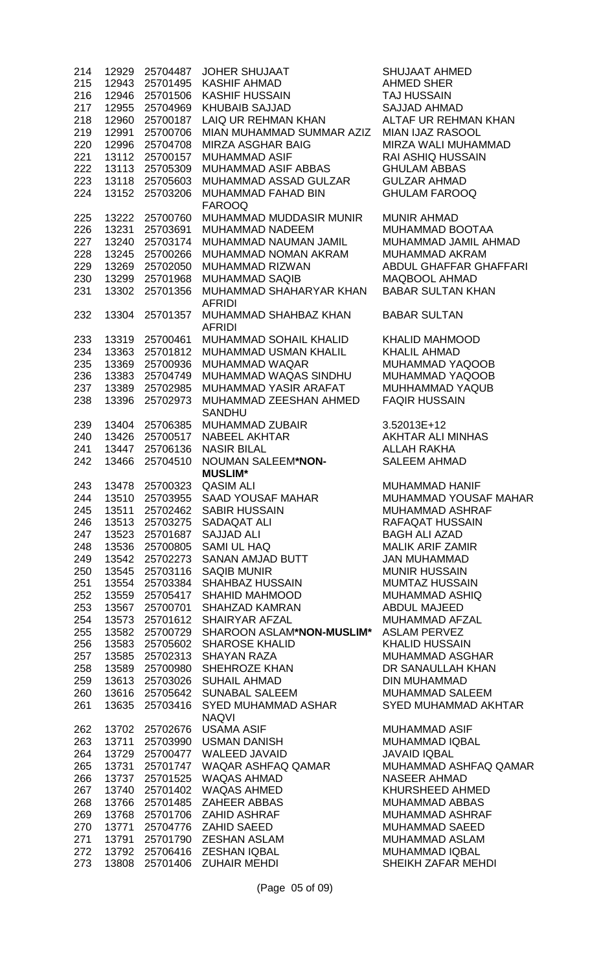| 214        |                | 12929 25704487       | JOHER SHUJAAT<br>KASHIF AHMAD<br>KASHIF HUSSAIN<br>KHUBAIB SAJJAD<br>LAIQ UR REHMAN KHAN | <b>SHUJAAT AHMED</b>                     |
|------------|----------------|----------------------|------------------------------------------------------------------------------------------|------------------------------------------|
| 215        | 12943          | 25701495             |                                                                                          | <b>AHMED SHER</b>                        |
| 216        | 12946          | 25701506             |                                                                                          | <b>TAJ HUSSAIN</b>                       |
| 217        | 12955          | 25704969             |                                                                                          | SAJJAD AHMAD                             |
| 218        | 12960          | 25700187             |                                                                                          | ALTAF UR REHMAN KHAN                     |
| 219        | 12991          | 25700706             | MIAN MUHAMMAD SUMMAR AZIZ MIAN IJAZ RASOOL                                               |                                          |
| 220        | 12996          | 25704708             | MIRZA ASGHAR BAIG                                                                        | MIRZA WALI MUHAMMAD                      |
| 221        | 13112          | 25700157             | <b>MUHAMMAD ASIF</b>                                                                     | <b>RAI ASHIQ HUSSAIN</b>                 |
| 222        |                | 13113 25705309       | MUHAMMAD ASIF ABBAS                                                                      | <b>GHULAM ABBAS</b>                      |
| 223        | 13118          | 25705603             | MUHAMMAD ASSAD GULZAR                                                                    | <b>GULZAR AHMAD</b>                      |
| 224        | 13152          | 25703206             | MUHAMMAD FAHAD BIN<br><b>FAROOQ</b>                                                      | <b>GHULAM FAROOQ</b>                     |
| 225        | 13222          | 25700760             | MUHAMMAD MUDDASIR MUNIR                                                                  | <b>MUNIR AHMAD</b>                       |
| 226        | 13231          | 25703691             | MUHAMMAD NADEEM                                                                          | MUHAMMAD BOOTAA                          |
| 227        | 13240          | 25703174             | MUHAMMAD NAUMAN JAMIL                                                                    | MUHAMMAD JAMIL AHMAD                     |
| 228        | 13245          | 25700266             | MUHAMMAD NOMAN AKRAM                                                                     | MUHAMMAD AKRAM                           |
| 229        | 13269          | 25702050             |                                                                                          | ABDUL GHAFFAR GHAFFARI                   |
| 230        | 13299          | 25701968             | MUHAMMAD RIZWAN<br>MUHAMMAD SAQIB<br>MUHAMMAD SAQIB                                      | <b>MAQBOOL AHMAD</b>                     |
| 231        | 13302          | 25701356             | MUHAMMAD SHAHARYAR KHAN                                                                  | <b>BABAR SULTAN KHAN</b>                 |
| 232        | 13304          | 25701357             | <b>AFRIDI</b><br>MUHAMMAD SHAHBAZ KHAN                                                   | <b>BABAR SULTAN</b>                      |
|            | 13319          | 25700461             | <b>AFRIDI</b><br>MUHAMMAD SOHAIL KHALID                                                  | <b>KHALID MAHMOOD</b>                    |
| 233<br>234 | 13363          | 25701812             | MUHAMMAD USMAN KHALIL                                                                    | <b>KHALIL AHMAD</b>                      |
| 235        | 13369          | 25700936             | MUHAMMAD WAQAR                                                                           | MUHAMMAD YAQOOB                          |
| 236        | 13383          | 25704749             | MUHAMMAD WAQAS SINDHU                                                                    | MUHAMMAD YAQOOB                          |
| 237        | 13389          | 25702985             | MUHAMMAD YASIR ARAFAT                                                                    | MUHHAMMAD YAQUB                          |
| 238        | 13396          | 25702973             | MUHAMMAD ZEESHAN AHMED                                                                   | <b>FAQIR HUSSAIN</b>                     |
|            |                |                      | <b>SANDHU</b>                                                                            |                                          |
| 239        | 13404          | 25706385             | MUHAMMAD ZUBAIR<br>NABEEL AKHTAR                                                         | 3.52013E+12                              |
| 240        | 13426          | 25700517             |                                                                                          | AKHTAR ALI MINHAS                        |
| 241        | 13447          | 25706136             | <b>NASIR BILAL</b><br>NASIR BILAL<br>NOUMAN SALEEM* <b>NON-</b>                          | <b>ALLAH RAKHA</b>                       |
| 242        | 13466          | 25704510             | <b>MUSLIM*</b>                                                                           | <b>SALEEM AHMAD</b>                      |
|            |                |                      |                                                                                          | <b>MUHAMMAD HANIF</b>                    |
|            |                |                      |                                                                                          | MUHAMMAD YOUSAF MAHAR                    |
| 245        | 13511          |                      | 25702462 SABIR HUSSAIN                                                                   | MUHAMMAD ASHRAF                          |
| 246        |                |                      | 13513 25703275 SADAQAT ALI                                                               | <b>RAFAQAT HUSSAIN</b>                   |
| 247        | 13523          |                      | 25701687 SAJJAD ALI                                                                      | <b>BAGH ALI AZAD</b>                     |
| 248        | 13536          | 25700805             | SAMI UL HAQ                                                                              | <b>MALIK ARIF ZAMIR</b>                  |
| 249        | 13542          | 25702273             | SANAN AMJAD BUTT                                                                         | <b>JAN MUHAMMAD</b>                      |
| 250        | 13545          | 25703116             | <b>SAQIB MUNIR</b><br>SAQIB MUNIR<br>SHAHBAZ HUSSAIN                                     | <b>MUNIR HUSSAIN</b>                     |
| 251        | 13554          | 25703384             |                                                                                          | <b>MUMTAZ HUSSAIN</b>                    |
| 252        | 13559          | 25705417             | SHAHID MAHMOOD <b>SHAHID</b>                                                             | MUHAMMAD ASHIQ                           |
| 253        | 13567          | 25700701             | SHAHZAD KAMRAN<br>SHAIRYAR AFZAL                                                         | <b>ABDUL MAJEED</b>                      |
| 254        | 13573          | 25701612             |                                                                                          | MUHAMMAD AFZAL                           |
| 255        | 13582          | 25700729             | SHAROON ASLAM*NON-MUSLIM* ASLAM PERVEZ                                                   |                                          |
| 256        | 13583          | 25705602<br>25702313 | <b>SHAROSE KHALID</b><br><b>SHAYAN RAZA</b>                                              | <b>KHALID HUSSAIN</b><br>MUHAMMAD ASGHAR |
| 257<br>258 | 13585<br>13589 | 25700980             | SHEHROZE KHAN                                                                            | DR SANAULLAH KHAN                        |
| 259        | 13613          | 25703026             | <b>SUHAIL AHMAD</b>                                                                      | <b>DIN MUHAMMAD</b>                      |
| 260        | 13616          | 25705642             | <b>SUNABAL SALEEM</b>                                                                    | <b>MUHAMMAD SALEEM</b>                   |
| 261        | 13635          | 25703416             | SYED MUHAMMAD ASHAR                                                                      | <b>SYED MUHAMMAD AKHTAR</b>              |
|            |                |                      | <b>NAQVI</b>                                                                             |                                          |
| 262        | 13702          | 25702676             | 25702676 USAMA ASIF<br>25703990 USMAN DANISH                                             | <b>MUHAMMAD ASIF</b>                     |
| 263        | 13711          |                      |                                                                                          | <b>MUHAMMAD IQBAL</b>                    |
| 264        | 13729          |                      | 25700477 WALEED JAVAID                                                                   | <b>JAVAID IQBAL</b>                      |
| 265        | 13731          |                      | 25701747 WAQAR ASHFAQ QAMAR                                                              | MUHAMMAD ASHFAQ QAMAR                    |
| 266        | 13737          | 25701525             | WAQAS AHMAD                                                                              | <b>NASEER AHMAD</b>                      |
| 267        | 13740          | 25701402             | WAQAS AHMED                                                                              | KHURSHEED AHMED                          |
| 268        | 13766          | 25701485             | ZAHEER ABBAS                                                                             | MUHAMMAD ABBAS                           |
| 269        | 13768          | 25701706             | ZAHID ASHRAF                                                                             | MUHAMMAD ASHRAF                          |
| 270        | 13771          | 25704776             | ZAHID SAEED                                                                              | <b>MUHAMMAD SAEED</b>                    |
| 271        | 13791          | 25701790             | ZESHAN ASLAM                                                                             | MUHAMMAD ASLAM                           |
| 272        | 13792          |                      | 25706416 ZESHAN IQBAL                                                                    | MUHAMMAD IQBAL                           |
| 273        | 13808          |                      | 25701406 ZUHAIR MEHDI                                                                    | SHEIKH ZAFAR MEHDI                       |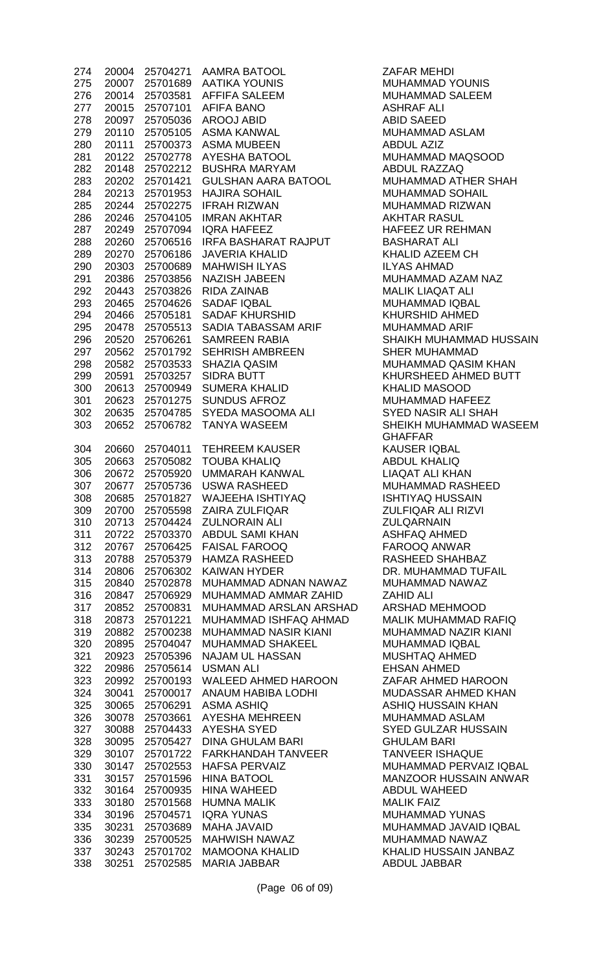| 274        | 20004          | 25704271             | <b>AAMRA BATOOL</b>                               |
|------------|----------------|----------------------|---------------------------------------------------|
| 275        | 20007          | 25701689             | <b>AATIKA YOUNIS</b>                              |
| 276        | 20014          | 25703581             | <b>AFFIFA SALEEM</b>                              |
| 277        | 20015          | 25707101             | <b>AFIFA BANO</b>                                 |
| 278        | 20097          | 25705036             | <b>AROOJ ABID</b>                                 |
| 279        | 20110          | 25705105             | ASMA KANWAL                                       |
| 280        | 20111          | 25700373             | <b>ASMA MUBEEN</b>                                |
| 281        | 20122          | 25702778             | <b>AYESHA BATOOL</b>                              |
| 282        | 20148          | 25702212             | <b>BUSHRA MARYAM</b>                              |
| 283        | 20202          | 25701421             | <b>GULSHAN AARA BATOOL</b>                        |
| 284        | 20213          | 25701953             | <b>HAJIRA SOHAIL</b><br><b>IFRAH RIZWAN</b>       |
| 285        | 20244          | 25702275             |                                                   |
| 286<br>287 | 20246<br>20249 | 25704105<br>25707094 | <b>IMRAN AKHTAR</b><br><b>IQRA HAFEEZ</b>         |
| 288        | 20260          | 25706516             | <b>IRFA BASHARAT RAJPUT</b>                       |
| 289        | 20270          | 25706186             | <b>JAVERIA KHALID</b>                             |
| 290        | 20303          | 25700689             | <b>MAHWISH ILYAS</b>                              |
| 291        | 20386          | 25703856             | <b>NAZISH JABEEN</b>                              |
| 292        | 20443          | 25703826             | <b>RIDA ZAINAB</b>                                |
| 293        | 20465          | 25704626             | <b>SADAF IQBAL</b>                                |
| 294        | 20466          | 25705181             | <b>SADAF KHURSHID</b>                             |
| 295        | 20478          | 25705513             | SADIA TABASSAM ARIF                               |
| 296        | 20520          | 25706261             | <b>SAMREEN RABIA</b>                              |
| 297        | 20562          | 25701792             | <b>SEHRISH AMBREEN</b>                            |
| 298        | 20582          | 25703533             | <b>SHAZIA QASIM</b>                               |
| 299        | 20591          | 25703257             | SIDRA BUTT                                        |
| 300        | 20613          | 25700949             | <b>SUMERA KHALID</b>                              |
| 301        | 20623          | 25701275             | <b>SUNDUS AFROZ</b>                               |
| 302        | 20635          | 25704785             | SYEDA MASOOMA ALI                                 |
| 303        | 20652          | 25706782             | <b>TANYA WASEEM</b>                               |
| 304        | 20660          | 25704011             | <b>TEHREEM KAUSER</b>                             |
| 305        | 20663          | 25705082             | <b>TOUBA KHALIQ</b>                               |
| 306        | 20672          | 25705920             | <b>UMMARAH KANWAL</b>                             |
| 307        | 20677          | 25705736             | <b>USWA RASHEED</b>                               |
| 308        | 20685          | 25701827             | <b>WAJEEHA ISHTIYAQ</b>                           |
| 309        | 20700          | 25705598             | <b>ZAIRA ZULFIQAR</b>                             |
| 310<br>311 | 20713<br>20722 | 25704424<br>25703370 | <b>ZULNORAIN ALI</b><br><b>ABDUL SAMI KHAN</b>    |
| 312        | 20767          | 25706425             | <b>FAISAL FAROOQ</b>                              |
| 313        | 20788          | 25705379             | <b>HAMZA RASHEED</b>                              |
| 314        | 20806          | 25706302             | <b>KAIWAN HYDER</b>                               |
| 315        | 20840          | 25702878             | MUHAMMAD ADNAN NAWAZ                              |
| 316        | 20847          | 25706929             | MUHAMMAD AMMAR ZAHID                              |
| 317        | 20852          | 25700831             | <b>MUHAMMAD ARSLAN ARSH</b>                       |
| 318        | 20873          | 25701221             | MUHAMMAD ISHFAQ AHMAD                             |
| 319        | 20882          | 25700238             | MUHAMMAD NASIR KIANI                              |
| 320        | 20895          | 25704047             | <b>MUHAMMAD SHAKEEL</b>                           |
| 321        | 20923          | 25705396             | <b>NAJAM UL HASSAN</b>                            |
| 322        | 20986          | 25705614             | <b>USMAN ALI</b>                                  |
| 323        | 20992          | 25700193             | <b>WALEED AHMED HAROON</b>                        |
| 324        | 30041          | 25700017             | <b>ANAUM HABIBA LODHI</b>                         |
| 325        | 30065          | 25706291             | <b>ASMA ASHIQ</b>                                 |
| 326        | 30078          | 25703661             | <b>AYESHA MEHREEN</b>                             |
| 327        | 30088          | 25704433             | <b>AYESHA SYED</b>                                |
| 328        | 30095          | 25705427             | <b>DINA GHULAM BARI</b>                           |
| 329<br>330 | 30107<br>30147 | 25701722<br>25702553 | <b>FARKHANDAH TANVEER</b><br><b>HAFSA PERVAIZ</b> |
| 331        | 30157          | 25701596             | <b>HINA BATOOL</b>                                |
| 332        | 30164          | 25700935             | <b>HINA WAHEED</b>                                |
| 333        | 30180          | 25701568             | <b>HUMNA MALIK</b>                                |
| 334        | 30196          | 25704571             | <b>IQRA YUNAS</b>                                 |
| 335        | 30231          | 25703689             | <b>MAHA JAVAID</b>                                |
| 336        | 30239          | 25700525             | <b>MAHWISH NAWAZ</b>                              |
| 337        | 30243          | 25701702             | <b>MAMOONA KHALID</b>                             |
| 338        | 30251          | 25702585             | <b>MARIA JABBAR</b>                               |

ZAFAR MEHDI MUHAMMAD YOUNIS MUHAMMAD SALEEM ASHRAF ALI ABID SAEED MUHAMMAD ASLAM ABDUL AZIZ MUHAMMAD MAQSOOD ABDUL RAZZAQ MUHAMMAD ATHER SHAH MUHAMMAD SOHAIL MUHAMMAD RIZWAN AKHTAR RASUL HAFEEZ UR REHMAN BASHARAT ALI KHALID AZEEM CH **ILYAS AHMAD** MUHAMMAD AZAM NAZ **MALIK LIAQAT ALI** MUHAMMAD IQBAL KHURSHID AHMED MUHAMMAD ARIF SHAIKH MUHAMMAD HUSSAIN **SHER MUHAMMAD** MUHAMMAD QASIM KHAN KHURSHEED AHMED BUTT KHALID MASOOD MUHAMMAD HAFEEZ **SYED NASIR ALI SHAH** SHEIKH MUHAMMAD WASEEM GHAFFAR KAUSER IQBAL ABDUL KHALIQ LIAQAT ALI KHAN MUHAMMAD RASHEED **ISHTIYAQ HUSSAIN** ZULFIQAR ALI RIZVI **ZULQARNAIN** ASHFAQ AHMED FAROOQ ANWAR RASHEED SHAHBAZ DR. MUHAMMAD TUFAIL MUHAMMAD NAWAZ ZAHID ALI AD ARSHAD MEHMOOD 318 20873 25701221 MUHAMMAD ISHFAQ AHMAD MALIK MUHAMMAD RAFIQ MUHAMMAD NAZIR KIANI MUHAMMAD IQBAL MUSHTAQ AHMED EHSAN AHMED ZAFAR AHMED HAROON MUDASSAR AHMED KHAN ASHIQ HUSSAIN KHAN MUHAMMAD ASLAM **SYED GULZAR HUSSAIN GHULAM BARI** TANVEER ISHAQUE MUHAMMAD PERVAIZ IQBAL MANZOOR HUSSAIN ANWAR ABDUL WAHEED **MALIK FAIZ** MUHAMMAD YUNAS MUHAMMAD JAVAID IQBAL MUHAMMAD NAWAZ KHALID HUSSAIN JANBAZ ABDUL JABBAR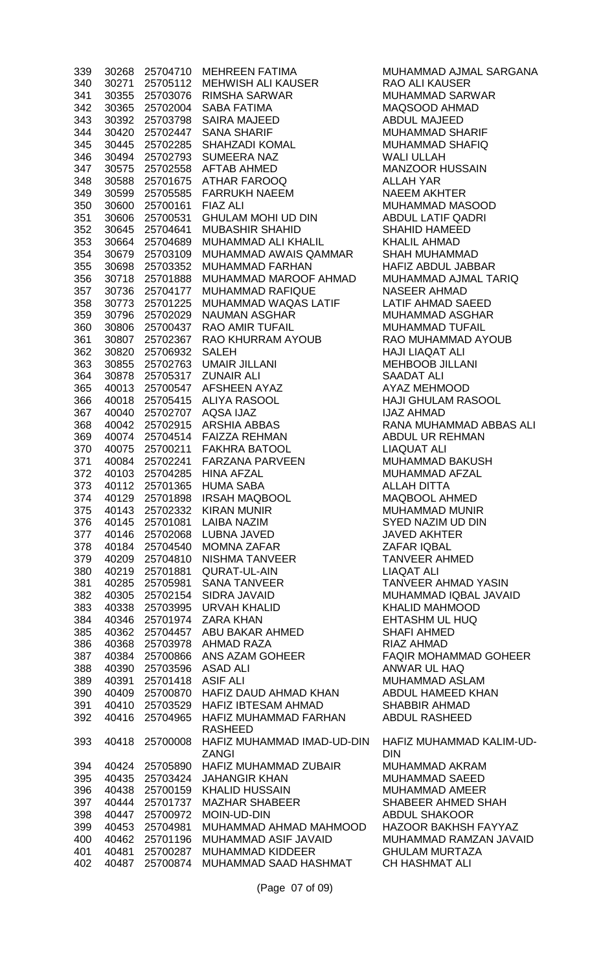| 339        | 30268          | 25704710                   | <b>MEHREEN FATIMA</b>                          |
|------------|----------------|----------------------------|------------------------------------------------|
| 340        | 30271          | 25705112                   | <b>MEHWISH ALI KAUSER</b>                      |
| 341        | 30355          | 25703076                   | <b>RIMSHA SARWAR</b>                           |
| 342        | 30365          |                            | 25702004 SABA FATIMA                           |
| 343        | 30392          |                            | 25703798 SAIRA MAJEED                          |
| 344        | 30420          |                            | 25702447 SANA SHARIF                           |
| 345        | 30445          | 25702285                   | <b>SHAHZADI KOMAL</b>                          |
| 346        | 30494          | 25702793                   | <b>SUMEERA NAZ</b>                             |
| 347        | 30575          | 25702558                   | <b>AFTAB AHMED</b>                             |
| 348        | 30588          | 25701675                   | <b>ATHAR FAROOQ</b>                            |
| 349        | 30599          | 25705585                   | <b>FARRUKH NAEEM</b>                           |
| 350        | 30600          | 25700161                   | <b>FIAZ ALI</b>                                |
| 351        | 30606          | 25700531                   | <b>GHULAM MOHI UD DIN</b>                      |
| 352        | 30645          | 25704641                   | <b>MUBASHIR SHAHID</b>                         |
| 353        | 30664          | 25704689                   | <b>MUHAMMAD ALI KHALIL</b>                     |
| 354        | 30679          | 25703109                   | MUHAMMAD AWAIS QAMMAR                          |
| 355        | 30698          | 25703352                   | MUHAMMAD FARHAN                                |
| 356        | 30718          | 25701888                   | MUHAMMAD MAROOF AHMAD                          |
| 357        | 30736          | 25704177                   | <b>MUHAMMAD RAFIQUE</b>                        |
| 358        | 30773          | 25701225<br>30796 25702029 | MUHAMMAD WAQAS LATIF                           |
| 359<br>360 | 30806          | 25700437                   | <b>NAUMAN ASGHAR</b><br><b>RAO AMIR TUFAIL</b> |
| 361        | 30807          | 25702367                   | RAO KHURRAM AYOUB                              |
| 362        | 30820          | 25706932                   | <b>SALEH</b>                                   |
| 363        | 30855          |                            | 25702763 UMAIR JILLANI                         |
| 364        | 30878          |                            | 25705317 ZUNAIR ALI                            |
| 365        | 40013          | 25700547                   | <b>AFSHEEN AYAZ</b>                            |
| 366        | 40018          | 25705415                   | <b>ALIYA RASOOL</b>                            |
| 367        | 40040          | 25702707                   | <b>AQSA IJAZ</b>                               |
| 368        | 40042          | 25702915                   | <b>ARSHIA ABBAS</b>                            |
| 369        | 40074          |                            | 25704514 FAIZZA REHMAN                         |
| 370        | 40075          |                            | 25700211 FAKHRA BATOOL                         |
| 371        | 40084          |                            | 25702241 FARZANA PARVEEN                       |
| 372        | 40103          |                            | 25704285 HINA AFZAL                            |
| 373        | 40112          | 25701365                   | <b>HUMA SABA</b>                               |
| 374        | 40129          | 25701898                   | <b>IRSAH MAQBOOL</b>                           |
| 375        | 40143          | 25702332                   | <b>KIRAN MUNIR</b>                             |
| 376        | 40145          | 25701081                   | <b>LAIBA NAZIM</b>                             |
| 377        | 40146          | 25702068                   | <b>LUBNA JAVED</b>                             |
| 378        | 40184          | 25704540                   | <b>MOMNA ZAFAR</b>                             |
| 379        | 40209          | 25704810                   | <b>NISHMA TANVEER</b>                          |
| 380        | 40219          | 25701881                   | <b>QURAT-UL-AIN</b>                            |
| 381        | 40285          | 25705981                   | <b>SANA TANVEER</b>                            |
| 382        | 40305          | 25702154                   | <b>SIDRA JAVAID</b>                            |
| 383        | 40338          | 25703995                   | <b>URVAH KHALID</b>                            |
| 384        | 40346          | 25701974                   | <b>ZARA KHAN</b>                               |
| 385        | 40362          | 25704457                   | <b>ABU BAKAR AHMED</b>                         |
| 386<br>387 | 40368<br>40384 | 25703978<br>25700866       | <b>AHMAD RAZA</b><br>ANS AZAM GOHEER           |
| 388        | 40390          | 25703596                   | <b>ASAD ALI</b>                                |
| 389        | 40391          | 25701418                   | <b>ASIF ALI</b>                                |
| 390        | 40409          | 25700870                   | HAFIZ DAUD AHMAD KHAN                          |
| 391        | 40410          | 25703529                   | <b>HAFIZ IBTESAM AHMAD</b>                     |
| 392        | 40416          | 25704965                   | HAFIZ MUHAMMAD FARHAN                          |
|            |                |                            | <b>RASHEED</b>                                 |
| 393        | 40418          | 25700008                   | HAFIZ MUHAMMAD IMAD-UD-DIN                     |
|            |                |                            | <b>ZANGI</b>                                   |
| 394        | 40424          | 25705890                   | <b>HAFIZ MUHAMMAD ZUBAIR</b>                   |
| 395        | 40435          | 25703424                   | <b>JAHANGIR KHAN</b>                           |
| 396        | 40438          | 25700159                   | <b>KHALID HUSSAIN</b>                          |
| 397        | 40444          | 25701737                   | <b>MAZHAR SHABEER</b>                          |
| 398        | 40447          | 25700972                   | <b>MOIN-UD-DIN</b>                             |
| 399        | 40453          | 25704981                   | MUHAMMAD AHMAD MAHMOOD                         |
| 400        | 40462          | 25701196                   | MUHAMMAD ASIF JAVAID                           |
| 401        | 40481          | 25700287                   | <b>MUHAMMAD KIDDEER</b>                        |
| 402        | 40487          | 25700874                   | MUHAMMAD SAAD HASHMAT                          |

MUHAMMAD AJMAL SARGANA RAO ALI KAUSER MUHAMMAD SARWAR MAQSOOD AHMAD ABDUL MAJEED MUHAMMAD SHARIF MUHAMMAD SHAFIQ WAI I ULLAH MANZOOR HUSSAIN **ALLAH YAR** NAEEM AKHTER MUHAMMAD MASOOD ABDUL LATIF QADRI SHAHID HAMEED KHALIL AHMAD SHAH MUHAMMAD HAFIZ ABDUL JABBAR MUHAMMAD AJMAL TARIQ NASEER AHMAD LATIF AHMAD SAEED MUHAMMAD ASGHAR MUHAMMAD TUFAIL RAO MUHAMMAD AYOUB **HAJI LIAQAT ALI** MEHBOOB JILLANI SAADAT ALI AYAZ MEHMOOD HAJI GHULAM RASOOL **IJAZ AHMAD** RANA MUHAMMAD ABBAS ALI ABDUL UR REHMAN LIAQUAT ALI MUHAMMAD BAKUSH MUHAMMAD AFZAL ALLAH DITTA MAQBOOL AHMED MUHAMMAD MUNIR SYED NAZIM UD DIN **JAVED AKHTER** ZAFAR IQBAL TANVEER AHMED LIAQAT ALI TANVEER AHMAD YASIN MUHAMMAD IQBAL JAVAID KHALID MAHMOOD **EHTASHM UL HUQ SHAFI AHMED** RIAZ AHMAD FAQIR MOHAMMAD GOHEER ANWAR UL HAQ MUHAMMAD ASLAM ABDUL HAMEED KHAN SHABBIR AHMAD ABDUL RASHEED HAFIZ MUHAMMAD KALIM-UD-DIN MUHAMMAD AKRAM

MUHAMMAD SAEED MUHAMMAD AMEER SHABEER AHMED SHAH ABDUL SHAKOOR HAZOOR BAKHSH FAYYAZ MUHAMMAD RAMZAN JAVAID **GHULAM MURTAZA CH HASHMAT ALI**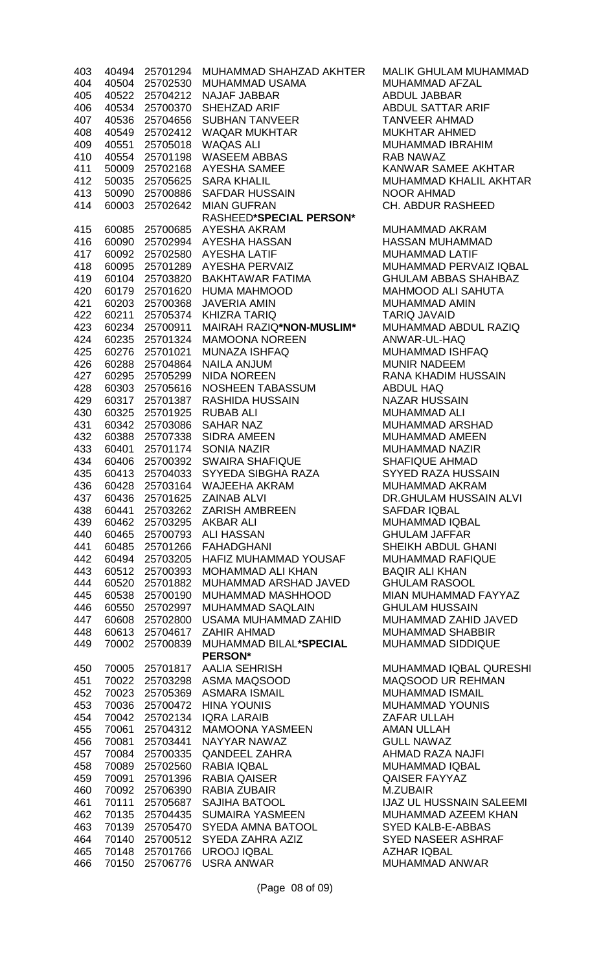| 403 | 40494 | 25701294 | MUHAMMAD SHAHZAD AKHTEI      |
|-----|-------|----------|------------------------------|
| 404 | 40504 | 25702530 | <b>MUHAMMAD USAMA</b>        |
| 405 | 40522 | 25704212 | <b>NAJAF JABBAR</b>          |
| 406 | 40534 | 25700370 | <b>SHEHZAD ARIF</b>          |
| 407 | 40536 | 25704656 | <b>SUBHAN TANVEER</b>        |
| 408 | 40549 | 25702412 | <b>WAQAR MUKHTAR</b>         |
| 409 | 40551 | 25705018 | <b>WAQAS ALI</b>             |
| 410 | 40554 | 25701198 | <b>WASEEM ABBAS</b>          |
| 411 | 50009 | 25702168 | <b>AYESHA SAMEE</b>          |
| 412 | 50035 | 25705625 | <b>SARA KHALIL</b>           |
| 413 | 50090 | 25700886 | <b>SAFDAR HUSSAIN</b>        |
| 414 | 60003 | 25702642 | <b>MIAN GUFRAN</b>           |
|     |       |          | RASHEED*SPECIAL PERSON*      |
| 415 | 60085 | 25700685 | <b>AYESHA AKRAM</b>          |
| 416 | 60090 | 25702994 | <b>AYESHA HASSAN</b>         |
| 417 | 60092 | 25702580 | <b>AYESHA LATIF</b>          |
| 418 | 60095 | 25701289 | <b>AYESHA PERVAIZ</b>        |
| 419 | 60104 | 25703820 | <b>BAKHTAWAR FATIMA</b>      |
| 420 | 60179 | 25701620 | <b>HUMA MAHMOOD</b>          |
| 421 | 60203 | 25700368 | <b>JAVERIA AMIN</b>          |
| 422 | 60211 | 25705374 | <b>KHIZRA TARIQ</b>          |
| 423 | 60234 | 25700911 | MAIRAH RAZIQ*NON-MUSLIM*     |
| 424 | 60235 | 25701324 | <b>MAMOONA NOREEN</b>        |
| 425 | 60276 | 25701021 | <b>MUNAZA ISHFAQ</b>         |
| 426 | 60288 | 25704864 | <b>NAILA ANJUM</b>           |
| 427 | 60295 | 25705299 | <b>NIDA NOREEN</b>           |
| 428 | 60303 | 25705616 | <b>NOSHEEN TABASSUM</b>      |
| 429 | 60317 | 25701387 | <b>RASHIDA HUSSAIN</b>       |
| 430 | 60325 | 25701925 | <b>RUBAB ALI</b>             |
| 431 | 60342 | 25703086 | <b>SAHAR NAZ</b>             |
| 432 | 60388 | 25707338 | <b>SIDRA AMEEN</b>           |
| 433 | 60401 | 25701174 | <b>SONIA NAZIR</b>           |
| 434 | 60406 | 25700392 | <b>SWAIRA SHAFIQUE</b>       |
| 435 | 60413 | 25704033 | SYYEDA SIBGHA RAZA           |
| 436 | 60428 | 25703164 | <b>WAJEEHA AKRAM</b>         |
| 437 | 60436 | 25701625 | ZAINAB ALVI                  |
| 438 | 60441 | 25703262 | <b>ZARISH AMBREEN</b>        |
| 439 | 60462 | 25703295 | <b>AKBAR ALI</b>             |
| 440 | 60465 | 25700793 | <b>ALI HASSAN</b>            |
| 441 | 60485 | 25701266 | <b>FAHADGHANI</b>            |
| 442 | 60494 | 25703205 | <b>HAFIZ MUHAMMAD YOUSAF</b> |
| 443 | 60512 | 25700393 | <b>MOHAMMAD ALI KHAN</b>     |
| 444 | 60520 | 25701882 | MUHAMMAD ARSHAD JAVED        |
| 445 | 60538 | 25700190 | MUHAMMAD MASHHOOD            |
| 446 | 60550 | 25702997 | <b>MUHAMMAD SAQLAIN</b>      |
| 447 | 60608 | 25702800 | USAMA MUHAMMAD ZAHID         |
| 448 | 60613 | 25704617 | <b>ZAHIR AHMAD</b>           |
| 449 | 70002 | 25700839 | MUHAMMAD BILAL*SPECIAL       |
|     |       |          | <b>PERSON*</b>               |
| 450 | 70005 | 25701817 | <b>AALIA SEHRISH</b>         |
| 451 | 70022 | 25703298 | <b>ASMA MAQSOOD</b>          |
| 452 | 70023 | 25705369 | <b>ASMARA ISMAIL</b>         |
| 453 | 70036 | 25700472 | <b>HINA YOUNIS</b>           |
| 454 | 70042 | 25702134 | <b>IQRA LARAIB</b>           |
| 455 | 70061 | 25704312 | <b>MAMOONA YASMEEN</b>       |
| 456 | 70081 | 25703441 | NAYYAR NAWAZ                 |
| 457 | 70084 | 25700335 | <b>QANDEEL ZAHRA</b>         |
| 458 | 70089 | 25702560 | RABIA IQBAL                  |
| 459 | 70091 | 25701396 | <b>RABIA QAISER</b>          |
| 460 | 70092 | 25706390 | <b>RABIA ZUBAIR</b>          |
| 461 | 70111 | 25705687 | <b>SAJIHA BATOOL</b>         |
| 462 | 70135 | 25704435 | <b>SUMAIRA YASMEEN</b>       |
| 463 | 70139 | 25705470 | <b>SYEDA AMNA BATOOL</b>     |
| 464 | 70140 | 25700512 | SYEDA ZAHRA AZIZ             |
| 465 | 70148 | 25701766 | <b>UROOJ IQBAL</b>           |
| 466 | 70150 | 25706776 | <b>USRA ANWAR</b>            |
|     |       |          |                              |

R MALIK GHULAM MUHAMMAD MUHAMMAD AFZAL ABDUL JABBAR ABDUL SATTAR ARIF TANVEER AHMAD MUKHTAR AHMED MUHAMMAD IBRAHIM RAB NAWAZ KANWAR SAMEE AKHTAR MUHAMMAD KHALIL AKHTAR NOOR AHMAD CH. ABDUR RASHEED

> MUHAMMAD AKRAM HASSAN MUHAMMAD MUHAMMAD LATIF MUHAMMAD PERVAIZ IQBAL GHULAM ABBAS SHAHBAZ MAHMOOD ALI SAHUTA MUHAMMAD AMIN TARIQ JAVAID **MUHAMMAD ABDUL RAZIQ** ANWAR-UL-HAQ MUHAMMAD ISHFAQ **MUNIR NADEEM** RANA KHADIM HUSSAIN ABDUL HAQ NAZAR HUSSAIN MUHAMMAD ALI MUHAMMAD ARSHAD MUHAMMAD AMEEN MUHAMMAD NAZIR SHAFIQUE AHMAD **SYYED RAZA HUSSAIN** MUHAMMAD AKRAM DR.GHULAM HUSSAIN ALVI SAFDAR IQBAL MUHAMMAD IQBAL **GHULAM JAFFAR** SHEIKH ABDUL GHANI MUHAMMAD RAFIQUE BAQIR ALI KHAN **GHULAM RASOOL** MIAN MUHAMMAD FAYYAZ **GHULAM HUSSAIN** MUHAMMAD ZAHID JAVED MUHAMMAD SHABBIR MUHAMMAD SIDDIQUE

MUHAMMAD IQBAL QURESHI MAQSOOD UR REHMAN MUHAMMAD ISMAIL MUHAMMAD YOUNIS ZAFAR ULLAH AMAN ULLAH **GULL NAWAZ** AHMAD RAZA NAJFI MUHAMMAD IQBAL QAISER FAYYAZ M.ZUBAIR **IJAZ UL HUSSNAIN SALEEMI** MUHAMMAD AZEEM KHAN SYED KALB-E-ABBAS SYED NASEER ASHRAF AZHAR IQBAL MUHAMMAD ANWAR